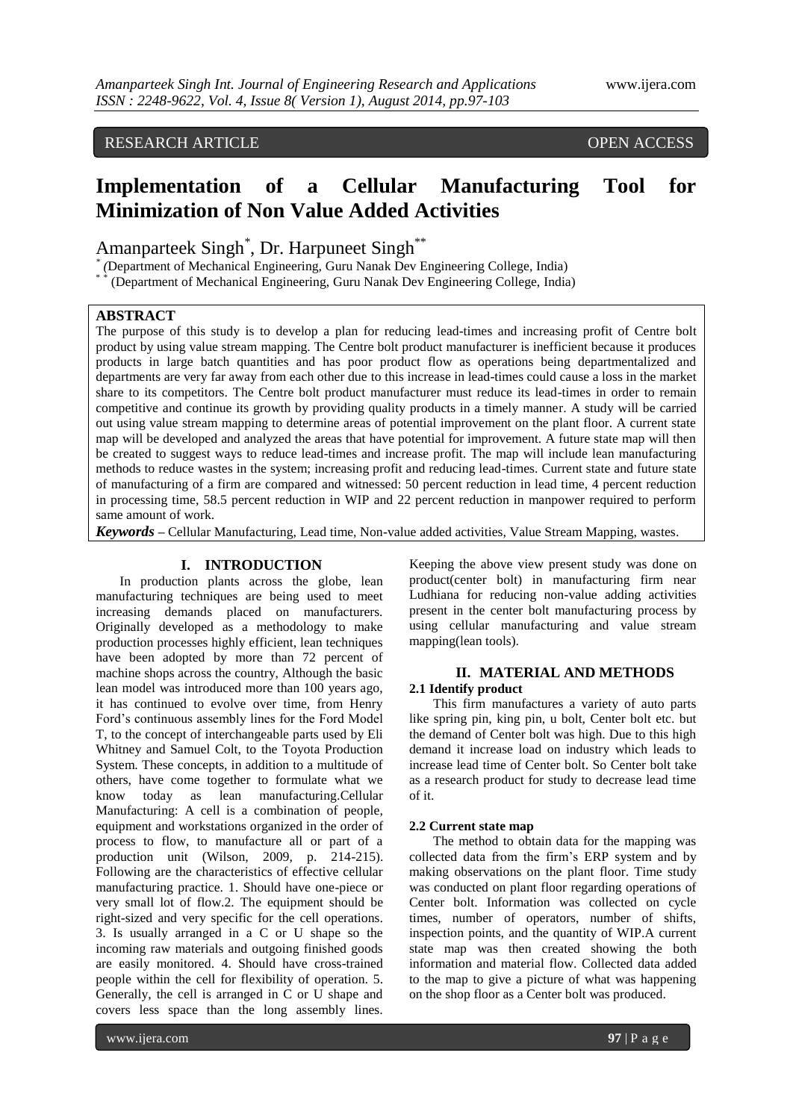# RESEARCH ARTICLE OPEN ACCESS

# **Implementation of a Cellular Manufacturing Tool for Minimization of Non Value Added Activities**

# Amanparteek Singh\* , Dr. Harpuneet Singh\*\*

\* (Department of Mechanical Engineering, Guru Nanak Dev Engineering College, India)

(Department of Mechanical Engineering, Guru Nanak Dev Engineering College, India)

# **ABSTRACT**

The purpose of this study is to develop a plan for reducing lead-times and increasing profit of Centre bolt product by using value stream mapping. The Centre bolt product manufacturer is inefficient because it produces products in large batch quantities and has poor product flow as operations being departmentalized and departments are very far away from each other due to this increase in lead-times could cause a loss in the market share to its competitors. The Centre bolt product manufacturer must reduce its lead-times in order to remain competitive and continue its growth by providing quality products in a timely manner. A study will be carried out using value stream mapping to determine areas of potential improvement on the plant floor. A current state map will be developed and analyzed the areas that have potential for improvement. A future state map will then be created to suggest ways to reduce lead-times and increase profit. The map will include lean manufacturing methods to reduce wastes in the system; increasing profit and reducing lead-times. Current state and future state of manufacturing of a firm are compared and witnessed: 50 percent reduction in lead time, 4 percent reduction in processing time, 58.5 percent reduction in WIP and 22 percent reduction in manpower required to perform same amount of work.

*Keywords –* Cellular Manufacturing, Lead time, Non-value added activities, Value Stream Mapping, wastes.

# **I. INTRODUCTION**

In production plants across the globe, lean manufacturing techniques are being used to meet increasing demands placed on manufacturers. Originally developed as a methodology to make production processes highly efficient, lean techniques have been adopted by more than 72 percent of machine shops across the country, Although the basic lean model was introduced more than 100 years ago, it has continued to evolve over time, from Henry Ford's continuous assembly lines for the Ford Model T, to the concept of interchangeable parts used by Eli Whitney and Samuel Colt, to the Toyota Production System. These concepts, in addition to a multitude of others, have come together to formulate what we know today as lean manufacturing.Cellular Manufacturing: A cell is a combination of people, equipment and workstations organized in the order of process to flow, to manufacture all or part of a production unit (Wilson, 2009, p. 214-215). Following are the characteristics of effective cellular manufacturing practice. 1. Should have one-piece or very small lot of flow.2. The equipment should be right-sized and very specific for the cell operations. 3. Is usually arranged in a C or U shape so the incoming raw materials and outgoing finished goods are easily monitored. 4. Should have cross-trained people within the cell for flexibility of operation. 5. Generally, the cell is arranged in C or U shape and covers less space than the long assembly lines.

Keeping the above view present study was done on product(center bolt) in manufacturing firm near Ludhiana for reducing non-value adding activities present in the center bolt manufacturing process by using cellular manufacturing and value stream mapping(lean tools).

# **II. MATERIAL AND METHODS 2.1 Identify product**

This firm manufactures a variety of auto parts like spring pin, king pin, u bolt, Center bolt etc. but the demand of Center bolt was high. Due to this high demand it increase load on industry which leads to increase lead time of Center bolt. So Center bolt take as a research product for study to decrease lead time of it.

### **2.2 Current state map**

The method to obtain data for the mapping was collected data from the firm's ERP system and by making observations on the plant floor. Time study was conducted on plant floor regarding operations of Center bolt. Information was collected on cycle times, number of operators, number of shifts, inspection points, and the quantity of WIP.A current state map was then created showing the both information and material flow. Collected data added to the map to give a picture of what was happening on the shop floor as a Center bolt was produced.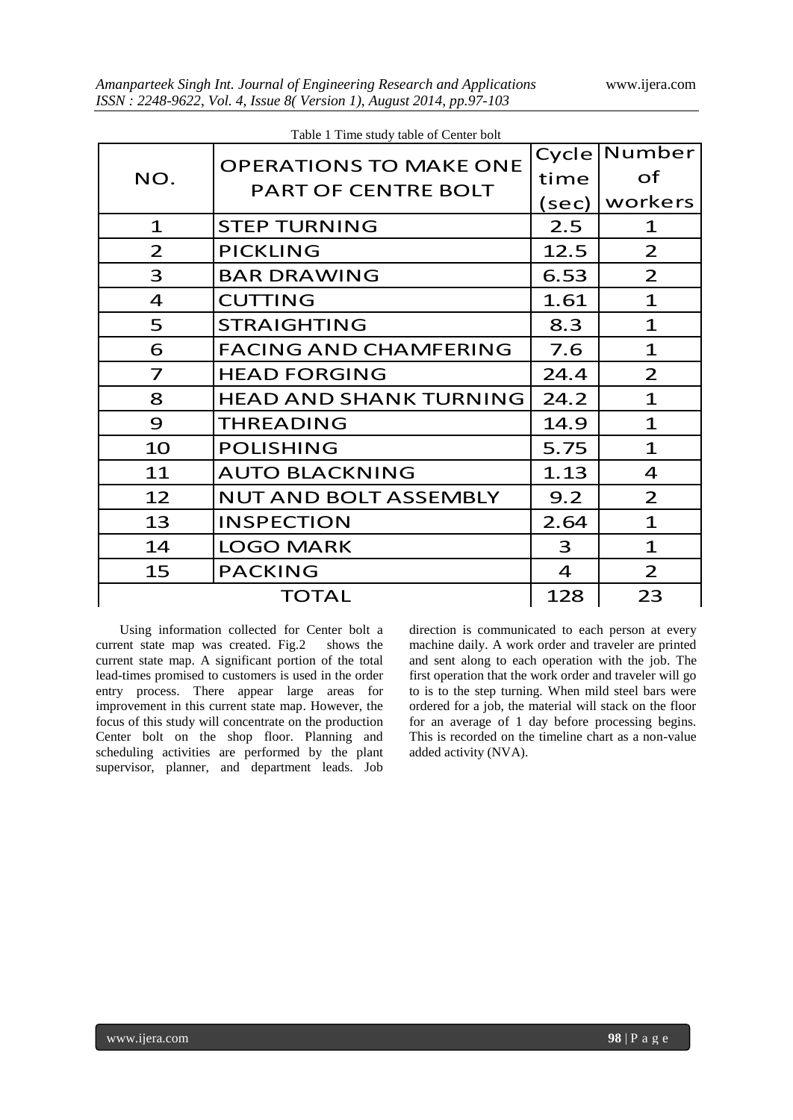| Table 1 Time study table of Center bolt |                               |                |                |  |  |  |
|-----------------------------------------|-------------------------------|----------------|----------------|--|--|--|
| NO.                                     | <b>OPERATIONS TO MAKE ONE</b> | Cycle          | Number         |  |  |  |
|                                         | <b>PART OF CENTRE BOLT</b>    | time           | of             |  |  |  |
|                                         |                               | (sec)          | workers        |  |  |  |
| $\mathbf{1}$                            | <b>STEP TURNING</b>           | 2.5            | $\mathbf 1$    |  |  |  |
| $\overline{2}$                          | <b>PICKLING</b>               | 12.5           | $\overline{2}$ |  |  |  |
| 3                                       | <b>BAR DRAWING</b>            | 6.53           | $\overline{2}$ |  |  |  |
| $\overline{4}$                          | <b>CUTTING</b>                | 1.61           | $\mathbf{1}$   |  |  |  |
| 5                                       | <b>STRAIGHTING</b>            | 8.3            | $\mathbf{1}$   |  |  |  |
| 6                                       | <b>FACING AND CHAMFERING</b>  | 7.6            | $\mathbf{1}$   |  |  |  |
| 7                                       | <b>HEAD FORGING</b>           | 24.4           | $\overline{2}$ |  |  |  |
| 8                                       | <b>HEAD AND SHANK TURNING</b> | 24.2           | $\mathbf{1}$   |  |  |  |
| 9                                       | <b>THREADING</b>              | 14.9           | $\mathbf{1}$   |  |  |  |
| 10                                      | <b>POLISHING</b>              | 5.75           | $\mathbf 1$    |  |  |  |
| 11                                      | <b>AUTO BLACKNING</b>         | 1.13           | 4              |  |  |  |
| 12                                      | <b>NUT AND BOLT ASSEMBLY</b>  | 9.2            | $\overline{2}$ |  |  |  |
| 13                                      | <b>INSPECTION</b>             | 2.64           | $\mathbf{1}$   |  |  |  |
| 14                                      | <b>LOGO MARK</b>              | 3              | $\mathbf{1}$   |  |  |  |
| 15                                      | <b>PACKING</b>                | $\overline{4}$ | $\overline{2}$ |  |  |  |
|                                         | <b>TOTAL</b>                  | 128            | 23             |  |  |  |

Using information collected for Center bolt a current state map was created. Fig.2 shows the current state map. A significant portion of the total lead-times promised to customers is used in the order entry process. There appear large areas for improvement in this current state map. However, the focus of this study will concentrate on the production Center bolt on the shop floor. Planning and scheduling activities are performed by the plant supervisor, planner, and department leads. Job

direction is communicated to each person at every machine daily. A work order and traveler are printed and sent along to each operation with the job. The first operation that the work order and traveler will go to is to the step turning. When mild steel bars were ordered for a job, the material will stack on the floor for an average of 1 day before processing begins. This is recorded on the timeline chart as a non-value added activity (NVA).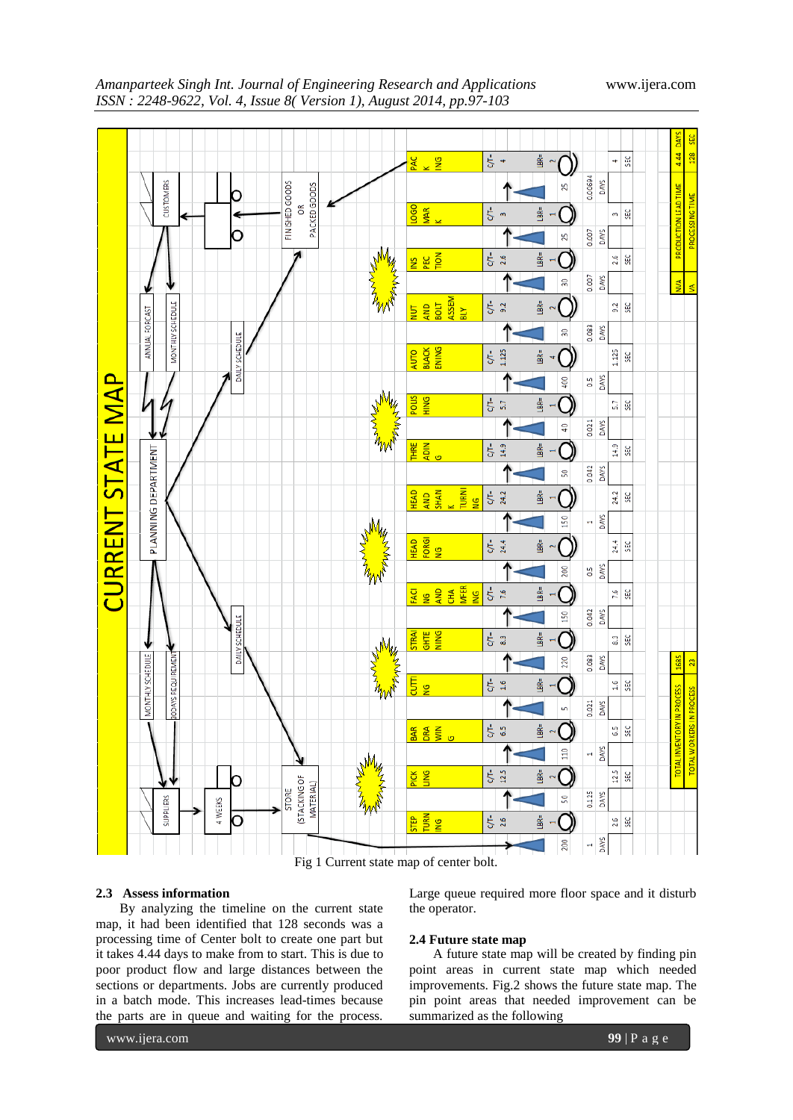

*Amanparteek Singh Int. Journal of Engineering Research and Applications* www.ijera.com *ISSN : 2248-9622, Vol. 4, Issue 8( Version 1), August 2014, pp.97-103*

Fig 1 Current state map of center bolt.

# **2.3 Assess information**

By analyzing the timeline on the current state map, it had been identified that 128 seconds was a processing time of Center bolt to create one part but it takes 4.44 days to make from to start. This is due to poor product flow and large distances between the sections or departments. Jobs are currently produced in a batch mode. This increases lead-times because the parts are in queue and waiting for the process.

Large queue required more floor space and it disturb the operator.

# **2.4 Future state map**

A future state map will be created by finding pin point areas in current state map which needed improvements. Fig.2 shows the future state map. The pin point areas that needed improvement can be summarized as the following

www.ijera.com **99** | P a g e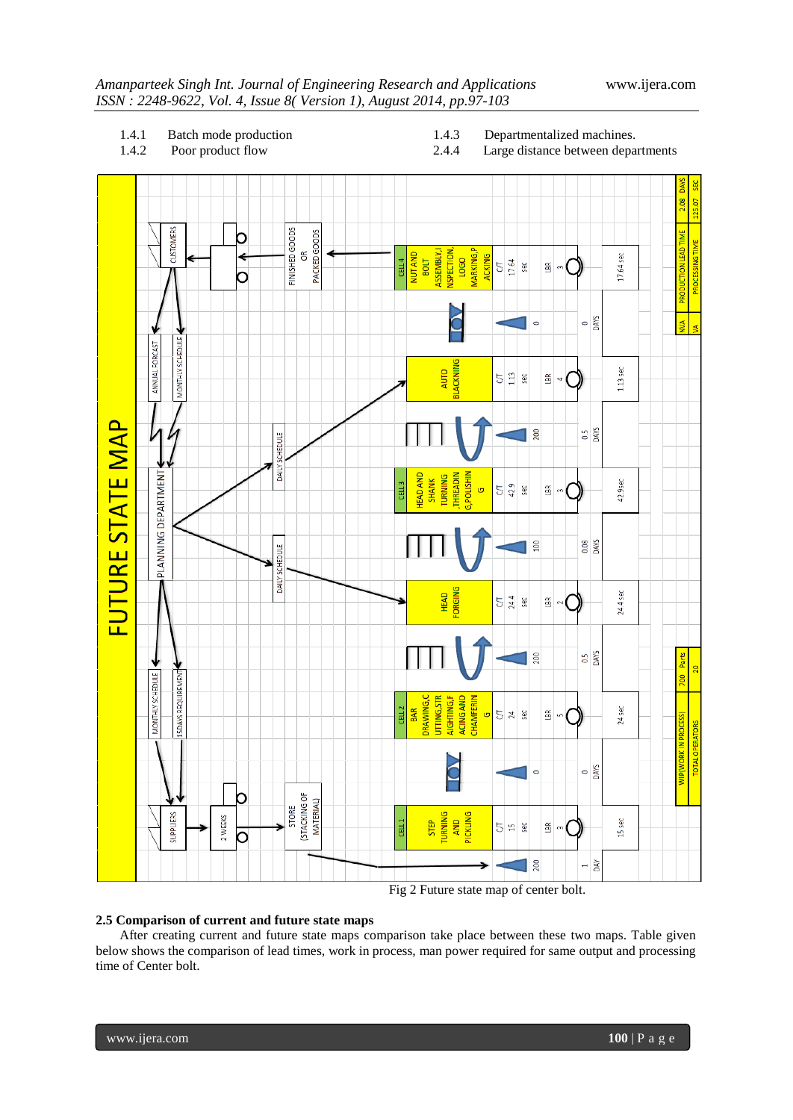# *ISSN : 2248-9622, Vol. 4, Issue 8( Version 1), August 2014, pp.97-103*



# **2.5 Comparison of current and future state maps**

After creating current and future state maps comparison take place between these two maps. Table given below shows the comparison of lead times, work in process, man power required for same output and processing time of Center bolt.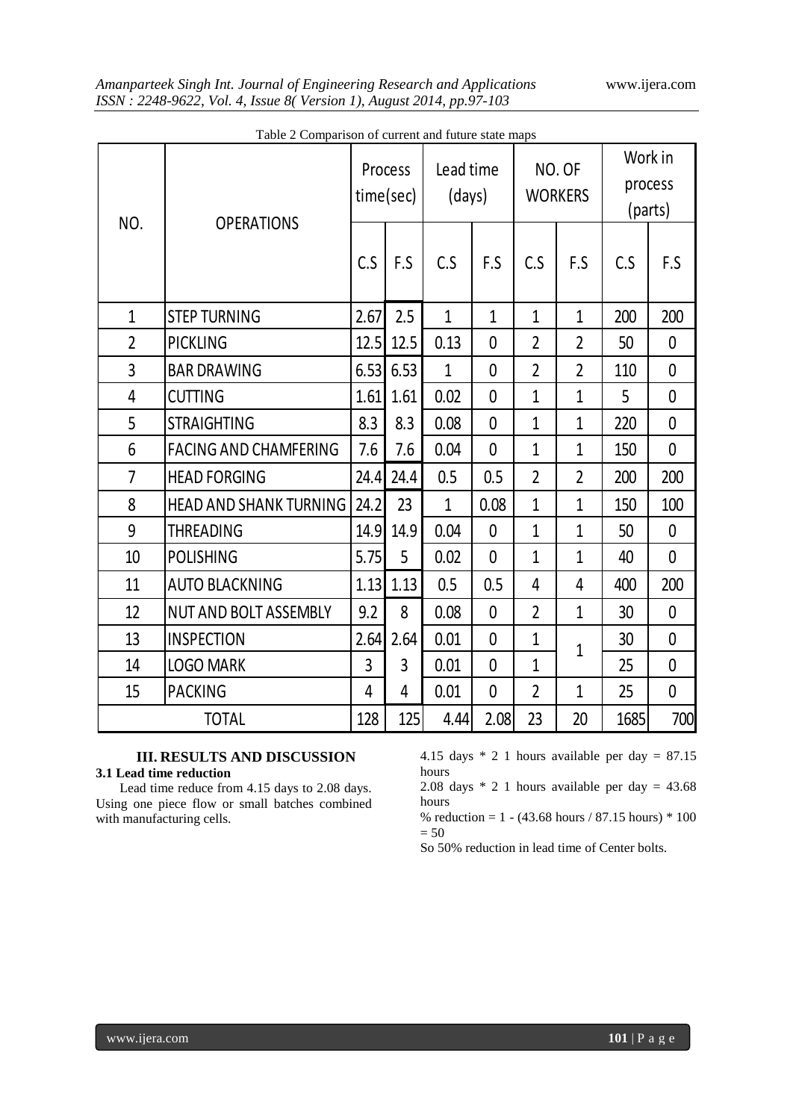# *Amanparteek Singh Int. Journal of Engineering Research and Applications* www.ijera.com *ISSN : 2248-9622, Vol. 4, Issue 8( Version 1), August 2014, pp.97-103*

|                | Tuble 2 Comparison of carrent and future state maps<br><b>OPERATIONS</b> | Process<br>time(sec) |             | Lead time<br>(days) |                | NO. OF<br><b>WORKERS</b> |                | Work in<br>process<br>(parts) |                |
|----------------|--------------------------------------------------------------------------|----------------------|-------------|---------------------|----------------|--------------------------|----------------|-------------------------------|----------------|
| NO.            |                                                                          |                      | F.S         | C.S                 | F.S            | C.S                      | F.S            | C.S                           | F.S            |
| $\mathbf{1}$   | <b>STEP TURNING</b>                                                      | 2.67                 | 2.5         | $\mathbf{1}$        | $\overline{1}$ | $\mathbf{1}$             | $\mathbf{1}$   | 200                           | 200            |
| $\overline{2}$ | <b>PICKLING</b>                                                          |                      | $12.5$ 12.5 | 0.13                | $\mathbf 0$    | $\overline{2}$           | $\overline{2}$ | 50                            | $\mathbf 0$    |
| 3              | <b>BAR DRAWING</b>                                                       | 6.53                 | 6.53        | $\overline{1}$      | $\overline{0}$ | $\overline{2}$           | $\overline{2}$ | 110                           | $\overline{0}$ |
| 4              | <b>CUTTING</b>                                                           | 1.61                 | 1.61        | 0.02                | 0              | $\overline{1}$           | $\mathbf{1}$   | 5                             | $\overline{0}$ |
| 5              | <b>STRAIGHTING</b>                                                       | 8.3                  | 8.3         | 0.08                | $\overline{0}$ | $\overline{1}$           | $\mathbf{1}$   | 220                           | $\overline{0}$ |
| 6              | <b>FACING AND CHAMFERING</b>                                             | 7.6                  | 7.6         | 0.04                | $\overline{0}$ | $\mathbf{1}$             | $\mathbf{1}$   | 150                           | 0              |
| $\overline{7}$ | <b>HEAD FORGING</b>                                                      | 24.4                 | 24.4        | 0.5                 | 0.5            | $\overline{2}$           | $\overline{2}$ | 200                           | 200            |
| 8              | <b>HEAD AND SHANK TURNING</b>                                            | 24.2                 | 23          | $\mathbf{1}$        | 0.08           | $\mathbf{1}$             | $\mathbf{1}$   | 150                           | 100            |
| 9              | <b>THREADING</b>                                                         | 14.9                 | 14.9        | 0.04                | $\overline{0}$ | $\overline{1}$           | $\mathbf{1}$   | 50                            | $\overline{0}$ |
| 10             | <b>POLISHING</b>                                                         | 5.75                 | 5           | 0.02                | $\overline{0}$ | $\overline{1}$           | $\mathbf{1}$   | 40                            | $\mathbf{0}$   |
| 11             | <b>AUTO BLACKNING</b>                                                    | 1.13                 | 1.13        | 0.5                 | 0.5            | $\overline{4}$           | $\overline{4}$ | 400                           | 200            |
| 12             | <b>NUT AND BOLT ASSEMBLY</b>                                             | 9.2                  | 8           | 0.08                | 0              | $\overline{2}$           | $\mathbf{1}$   | 30                            | 0              |
| 13             | <b>INSPECTION</b>                                                        | 2.64                 | 2.64        | 0.01                | 0              | $\mathbf{1}$             | 1              | 30                            | $\mathbf{0}$   |
| 14             | <b>LOGO MARK</b>                                                         | 3                    | 3           | 0.01                | $\overline{0}$ | $\mathbf{1}$             |                | 25                            | 0              |
| 15             | <b>PACKING</b>                                                           | 4                    | 4           | 0.01                | $\overline{0}$ | $\overline{2}$           | $\mathbf{1}$   | 25                            | $\mathbf 0$    |
|                | <b>TOTAL</b>                                                             | 128                  | 125         | 4.44                | 2.08           | 23                       | 20             | 1685                          | 700            |

| Table 2 Comparison of current and future state maps |  |  |
|-----------------------------------------------------|--|--|
|                                                     |  |  |

# **III. RESULTS AND DISCUSSION 3.1 Lead time reduction**

Lead time reduce from 4.15 days to 2.08 days. Using one piece flow or small batches combined with manufacturing cells.

4.15 days \* 2 1 hours available per day = 87.15 hours

2.08 days \* 2 1 hours available per day = 43.68 hours

% reduction =  $1 - (43.68 \text{ hours} / 87.15 \text{ hours}) * 100$  $= 50$ 

So 50% reduction in lead time of Center bolts.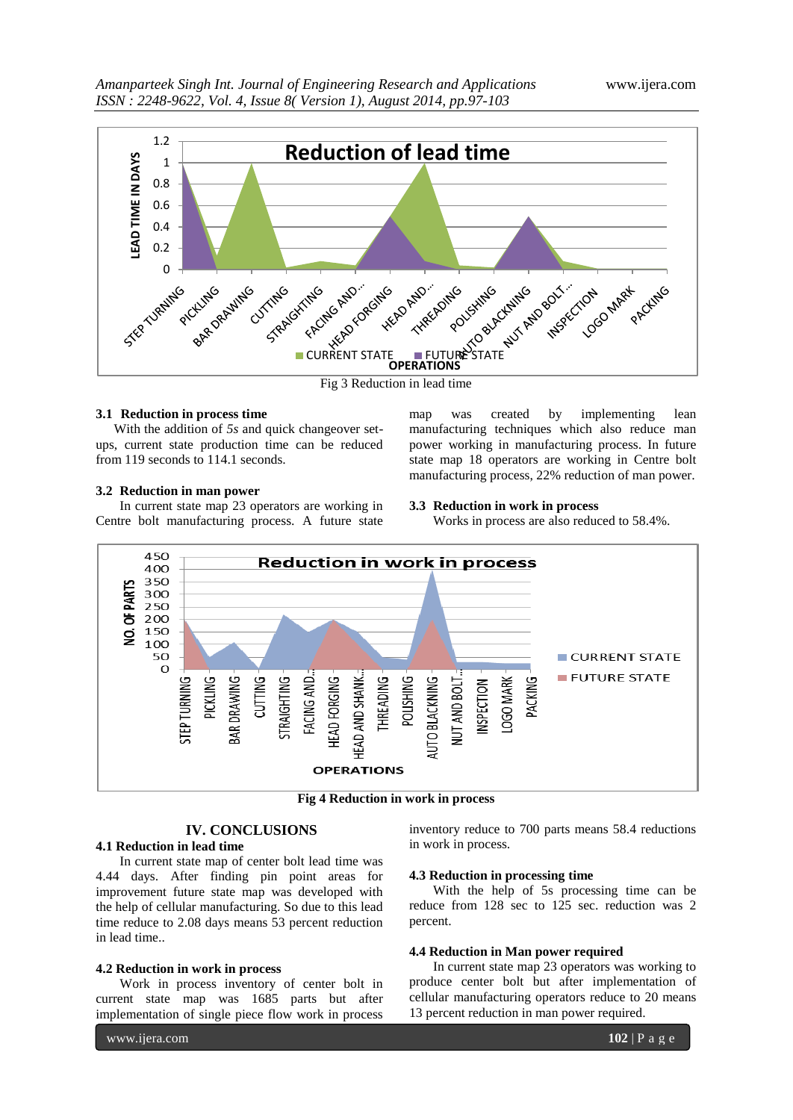

Fig 3 Reduction in lead time

## **3.1 Reduction in process time**

With the addition of *5s* and quick changeover setups, current state production time can be reduced from 119 seconds to 114.1 seconds.

#### **3.2 Reduction in man power**

In current state map 23 operators are working in Centre bolt manufacturing process. A future state map was created by implementing lean manufacturing techniques which also reduce man power working in manufacturing process. In future state map 18 operators are working in Centre bolt manufacturing process, 22% reduction of man power.

#### **3.3 Reduction in work in process**

Works in process are also reduced to 58.4%.



**Fig 4 Reduction in work in process**

# **IV. CONCLUSIONS**

# **4.1 Reduction in lead time**

In current state map of center bolt lead time was 4.44 days. After finding pin point areas for improvement future state map was developed with the help of cellular manufacturing. So due to this lead time reduce to 2.08 days means 53 percent reduction in lead time..

#### **4.2 Reduction in work in process**

Work in process inventory of center bolt in current state map was 1685 parts but after implementation of single piece flow work in process

www.ijera.com **102** | P a g e

inventory reduce to 700 parts means 58.4 reductions in work in process.

#### **4.3 Reduction in processing time**

With the help of 5s processing time can be reduce from 128 sec to 125 sec. reduction was 2 percent.

## **4.4 Reduction in Man power required**

In current state map 23 operators was working to produce center bolt but after implementation of cellular manufacturing operators reduce to 20 means 13 percent reduction in man power required.